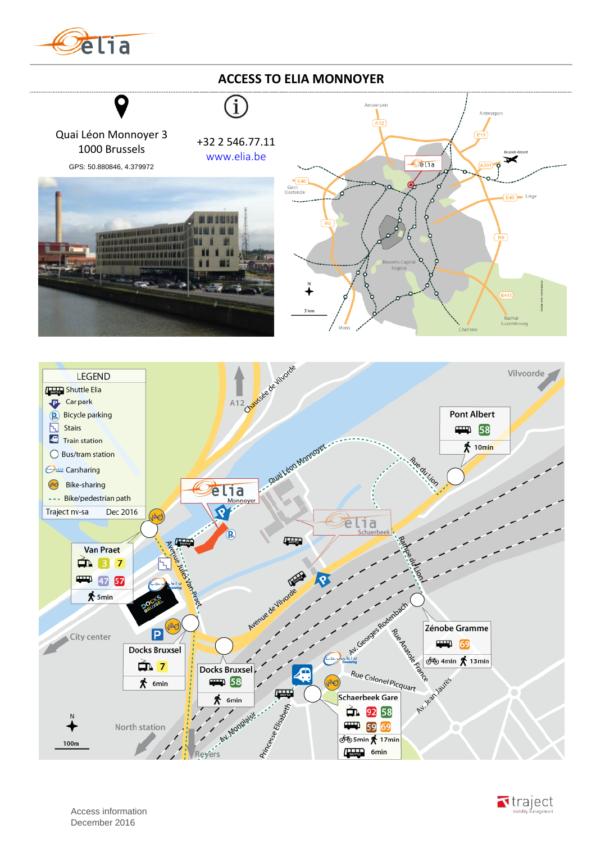

## **ACCESS TO ELIA MONNOYER**